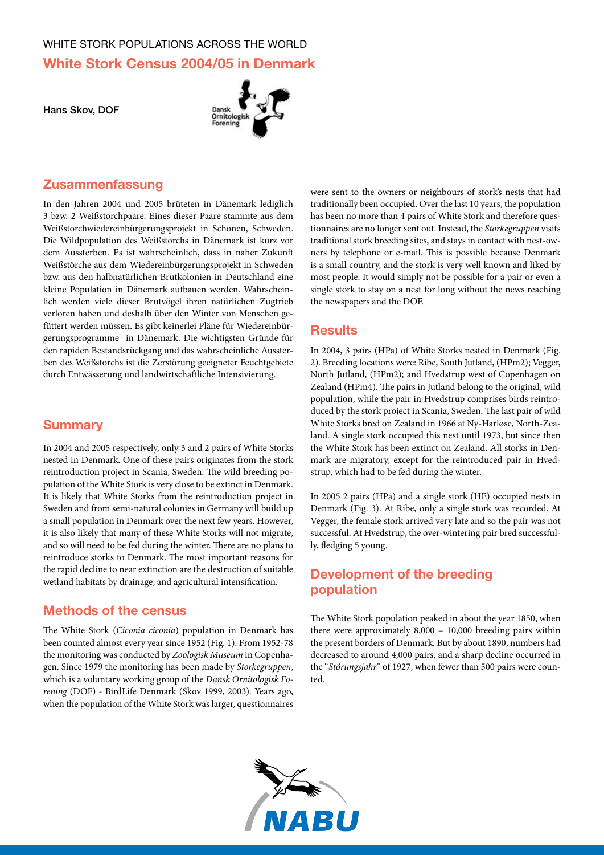# WHITE STORK POPULATIONS ACROSS THE WORLD **White Stork Census 2004/05 in Denmark**

Hans Skov, DOF



#### **Zusammenfassung**

In den Jahren 2004 und 2005 brüteten in Dänemark lediglich 3 bzw. 2 Weißstorchpaare. Eines dieser Paare stammte aus dem Weißstorchwiedereinbürgerungsprojekt in Schonen, Schweden. Die Wildpopulation des Weißstorchs in Dänemark ist kurz vor dem Aussterben. Es ist wahrscheinlich, dass in naher Zukunft Weißstörche aus dem Wiedereinbürgerungsprojekt in Schweden bzw. aus den halbnatürlichen Brutkolonien in Deutschland eine kleine Population in Dänemark aufbauen werden. Wahrscheinlich werden viele dieser Brutvögel ihren natürlichen Zugtrieb verloren haben und deshalb über den Winter von Menschen gefüttert werden müssen. Es gibt keinerlei Pläne für Wiedereinbürgerungsprogramme in Dänemark. Die wichtigsten Gründe für den rapiden Bestandsrückgang und das wahrscheinliche Aussterben des Weißstorchs ist die Zerstörung geeigneter Feuchtgebiete durch Entwässerung und landwirtschaftliche Intensivierung.

#### **Summary**

In 2004 and 2005 respectively, only 3 and 2 pairs of White Storks nested in Denmark. One of these pairs originates from the stork reintroduction project in Scania, Sweden. The wild breeding population of the White Stork is very close to be extinct in Denmark. It is likely that White Storks from the reintroduction project in Sweden and from semi-natural colonies in Germany will build up a small population in Denmark over the next few years. However, it is also likely that many of these White Storks will not migrate, and so will need to be fed during the winter. There are no plans to reintroduce storks to Denmark. The most important reasons for the rapid decline to near extinction are the destruction of suitable wetland habitats by drainage, and agricultural intensification.

### **Methods of the census**

The White Stork (*Ciconia ciconia*) population in Denmark has been counted almost every year since 1952 (Fig. 1). From 1952-78 the monitoring was conducted by *Zoologisk Museum* in Copenhagen. Since 1979 the monitoring has been made by *Storkegruppen*, which is a voluntary working group of the *Dansk Ornitologisk Forening* (DOF) - BirdLife Denmark (Skov 1999, 2003). Years ago, when the population of the White Stork was larger, questionnaires

were sent to the owners or neighbours of stork's nests that had traditionally been occupied. Over the last 10 years, the population has been no more than 4 pairs of White Stork and therefore questionnaires are no longer sent out. Instead, the *Storkegruppen* visits traditional stork breeding sites, and stays in contact with nest-owners by telephone or e-mail. This is possible because Denmark is a small country, and the stork is very well known and liked by most people. It would simply not be possible for a pair or even a single stork to stay on a nest for long without the news reaching the newspapers and the DOF.

#### **Results**

In 2004, 3 pairs (HPa) of White Storks nested in Denmark (Fig. 2). Breeding locations were: Ribe, South Jutland, (HPm2); Vegger, North Jutland, (HPm2); and Hvedstrup west of Copenhagen on Zealand (HPm4). The pairs in Jutland belong to the original, wild population, while the pair in Hvedstrup comprises birds reintroduced by the stork project in Scania, Sweden. The last pair of wild White Storks bred on Zealand in 1966 at Ny-Harløse, North-Zealand. A single stork occupied this nest until 1973, but since then the White Stork has been extinct on Zealand. All storks in Denmark are migratory, except for the reintroduced pair in Hvedstrup, which had to be fed during the winter.

In 2005 2 pairs (HPa) and a single stork (HE) occupied nests in Denmark (Fig. 3). At Ribe, only a single stork was recorded. At Vegger, the female stork arrived very late and so the pair was not successful. At Hvedstrup, the over-wintering pair bred successfully, fledging 5 young.

## **Development of the breeding population**

The White Stork population peaked in about the year 1850, when there were approximately 8,000 – 10,000 breeding pairs within the present borders of Denmark. But by about 1890, numbers had decreased to around 4,000 pairs, and a sharp decline occurred in the "*Störungsjahr*" of 1927, when fewer than 500 pairs were counted.

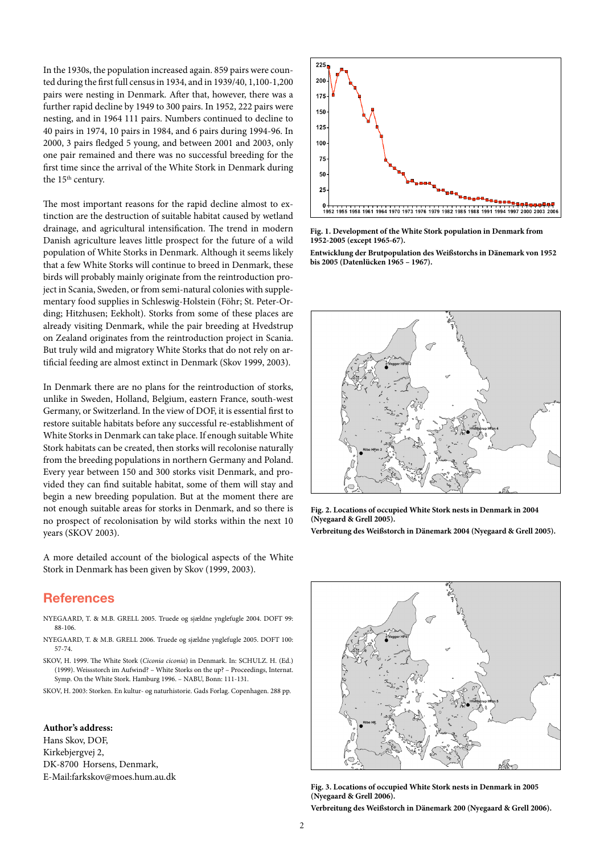In the 1930s, the population increased again. 859 pairs were counted during the first full census in 1934, and in 1939/40, 1,100-1,200 pairs were nesting in Denmark. After that, however, there was a further rapid decline by 1949 to 300 pairs. In 1952, 222 pairs were nesting, and in 1964 111 pairs. Numbers continued to decline to 40 pairs in 1974, 10 pairs in 1984, and 6 pairs during 1994-96. In 2000, 3 pairs fledged 5 young, and between 2001 and 2003, only one pair remained and there was no successful breeding for the first time since the arrival of the White Stork in Denmark during the 15<sup>th</sup> century.

The most important reasons for the rapid decline almost to extinction are the destruction of suitable habitat caused by wetland drainage, and agricultural intensification. The trend in modern Danish agriculture leaves little prospect for the future of a wild population of White Storks in Denmark. Although it seems likely that a few White Storks will continue to breed in Denmark, these birds will probably mainly originate from the reintroduction project in Scania, Sweden, or from semi-natural colonies with supplementary food supplies in Schleswig-Holstein (Föhr; St. Peter-Ording; Hitzhusen; Eekholt). Storks from some of these places are already visiting Denmark, while the pair breeding at Hvedstrup on Zealand originates from the reintroduction project in Scania. But truly wild and migratory White Storks that do not rely on artificial feeding are almost extinct in Denmark (Skov 1999, 2003).

In Denmark there are no plans for the reintroduction of storks, unlike in Sweden, Holland, Belgium, eastern France, south-west Germany, or Switzerland. In the view of DOF, it is essential first to restore suitable habitats before any successful re-establishment of White Storks in Denmark can take place. If enough suitable White Stork habitats can be created, then storks will recolonise naturally from the breeding populations in northern Germany and Poland. Every year between 150 and 300 storks visit Denmark, and provided they can find suitable habitat, some of them will stay and begin a new breeding population. But at the moment there are not enough suitable areas for storks in Denmark, and so there is no prospect of recolonisation by wild storks within the next 10 years (Skov 2003).

A more detailed account of the biological aspects of the White Stork in Denmark has been given by Skov (1999, 2003).

#### **References**

- Nyegaard, T. & M.B. Grell 2005. Truede og sjældne ynglefugle 2004. DOFT 99: 88-106.
- Nyegaard, T. & M.B. Grell 2006. Truede og sjældne ynglefugle 2005. DOFT 100: 57-74.
- Skov, H. 1999. The White Stork (*Ciconia ciconia*) in Denmark. In: Schulz. H. (Ed.) (1999). Weissstorch im Aufwind? – White Storks on the up? – Proceedings, Internat. Symp. On the White Stork. Hamburg 1996. – NABU, Bonn: 111-131.

Skov, H. 2003: Storken. En kultur- og naturhistorie. Gads Forlag. Copenhagen. 288 pp.

#### **Author's address:**

Hans Skov, DOF, Kirkebjergvej 2, DK-8700 Horsens, Denmark, E-Mail:farkskov@moes.hum.au.dk



**Fig. 1. Development of the White Stork population in Denmark from 1952-2005 (except 1965-67).**

**Entwicklung der Brutpopulation des Weißstorchs in Dänemark von 1952 bis 2005 (Datenlücken 1965 – 1967).** 



**Fig. 2. Locations of occupied White Stork nests in Denmark in 2004 (Nyegaard & Grell 2005).**

**Verbreitung des Weißstorch in Dänemark 2004 (Nyegaard & Grell 2005).**



**Fig. 3. Locations of occupied White Stork nests in Denmark in 2005 (Nyegaard & Grell 2006).**

**Verbreitung des Weißstorch in Dänemark 200 (Nyegaard & Grell 2006).**